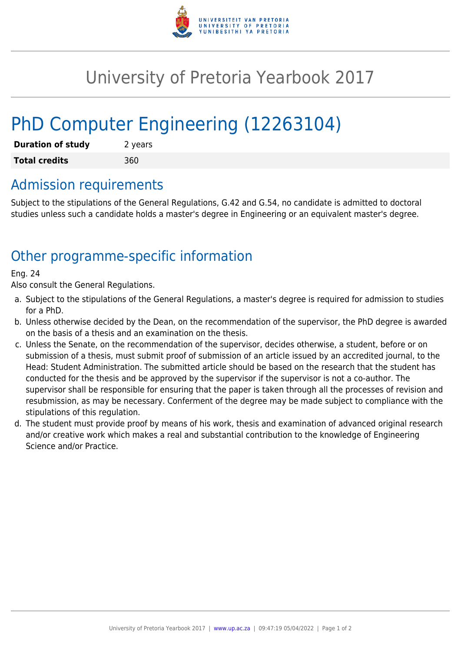

## University of Pretoria Yearbook 2017

# PhD Computer Engineering (12263104)

| <b>Duration of study</b> | 2 years |
|--------------------------|---------|
| <b>Total credits</b>     | 360     |

#### Admission requirements

Subject to the stipulations of the General Regulations, G.42 and G.54, no candidate is admitted to doctoral studies unless such a candidate holds a master's degree in Engineering or an equivalent master's degree.

## Other programme-specific information

#### Eng. 24

Also consult the General Regulations.

- a. Subject to the stipulations of the General Regulations, a master's degree is required for admission to studies for a PhD.
- b. Unless otherwise decided by the Dean, on the recommendation of the supervisor, the PhD degree is awarded on the basis of a thesis and an examination on the thesis.
- c. Unless the Senate, on the recommendation of the supervisor, decides otherwise, a student, before or on submission of a thesis, must submit proof of submission of an article issued by an accredited journal, to the Head: Student Administration. The submitted article should be based on the research that the student has conducted for the thesis and be approved by the supervisor if the supervisor is not a co-author. The supervisor shall be responsible for ensuring that the paper is taken through all the processes of revision and resubmission, as may be necessary. Conferment of the degree may be made subject to compliance with the stipulations of this regulation.
- d. The student must provide proof by means of his work, thesis and examination of advanced original research and/or creative work which makes a real and substantial contribution to the knowledge of Engineering Science and/or Practice.